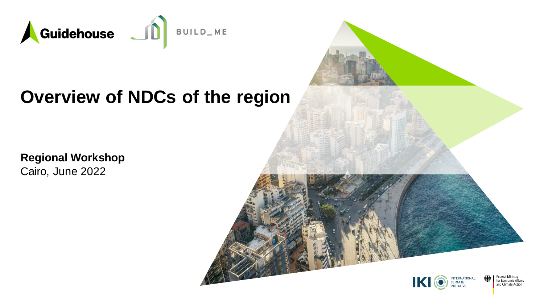

#### **Overview of NDCs of the region**

**Regional Workshop** Cairo, June 2022

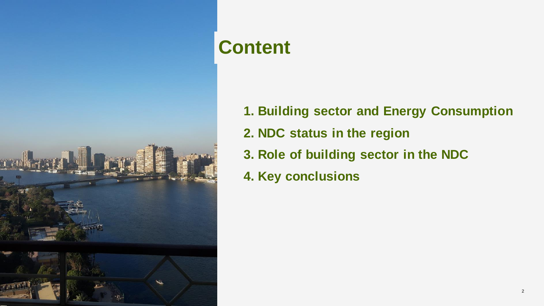

# **Content**

- **1. Building sector and Energy Consumption**
- **2. NDC status in the region**
- **3. Role of building sector in the NDC**
- **4. Key conclusions**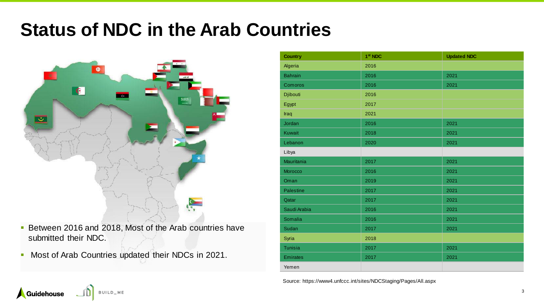### **Status of NDC in the Arab Countries**

![](_page_2_Picture_1.jpeg)

- **Between 2016 and 2018, Most of the Arab countries have** submitted their NDC.
- Most of Arab Countries updated their NDCs in 2021.

BUILD\_ME

Guidehouse

| <b>Country</b>  | 1 <sup>st</sup> NDC | <b>Updated NDC</b> |
|-----------------|---------------------|--------------------|
| Algeria         | 2016                |                    |
| <b>Bahrain</b>  | 2016                | 2021               |
| Comoros         | 2016                | 2021               |
| Djibouti        | 2016                |                    |
| Egypt           | 2017                |                    |
| Iraq            | 2021                |                    |
| Jordan          | 2016                | 2021               |
| Kuwait          | 2018                | 2021               |
| Lebanon         | 2020                | 2021               |
| Libya           |                     |                    |
| Mauritania      | 2017                | 2021               |
| Morocco         | 2016                | 2021               |
| Oman            | 2019                | 2021               |
| Palestine       | 2017                | 2021               |
| Qatar           | 2017                | 2021               |
| Saudi Arabia    | 2016                | 2021               |
| Somalia         | 2016                | 2021               |
| Sudan           | 2017                | 2021               |
| Syria           | 2018                |                    |
| Tunisia         | 2017                | 2021               |
| <b>Emirates</b> | 2017                | 2021               |
| Yemen           |                     |                    |

Source: https://www4.unfccc.int/sites/NDCStaging/Pages/All.aspx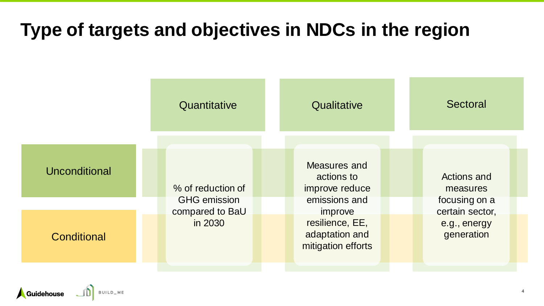### **Type of targets and objectives in NDCs in the region**

|               | Quantitative                             | Qualitative                                                        | Sectoral                                        |
|---------------|------------------------------------------|--------------------------------------------------------------------|-------------------------------------------------|
| Unconditional | % of reduction of<br><b>GHG emission</b> | Measures and<br>actions to<br>improve reduce<br>emissions and      | <b>Actions and</b><br>measures<br>focusing on a |
| Conditional   | compared to BaU<br>in 2030               | improve<br>resilience, EE,<br>adaptation and<br>mitigation efforts | certain sector,<br>e.g., energy<br>generation   |

Guidehouse JD BUILD\_ME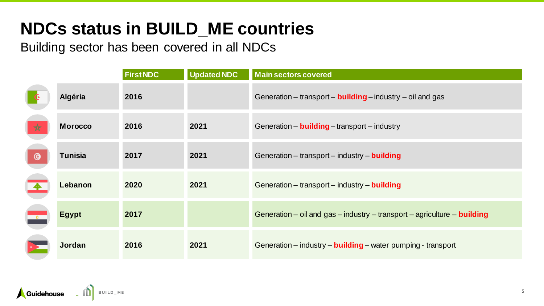### **NDCs status in BUILD\_ME countries**

Building sector has been covered in all NDCs

|               |                | <b>First NDC</b> | <b>Updated NDC</b> | <b>Main sectors covered</b>                                                     |
|---------------|----------------|------------------|--------------------|---------------------------------------------------------------------------------|
|               | Algéria        | 2016             |                    | Generation – transport – <b>building</b> – industry – oil and gas               |
| $\star$       | <b>Morocco</b> | 2016             | 2021               | Generation - <b>building</b> - transport - industry                             |
| $\odot$       | <b>Tunisia</b> | 2017             | 2021               | Generation – transport – industry – <b>building</b>                             |
|               | Lebanon        | 2020             | 2021               | Generation - transport - industry - building                                    |
| $\frac{a}{a}$ | <b>Egypt</b>   | 2017             |                    | Generation – oil and gas – industry – transport – agriculture – <b>building</b> |
|               | Jordan         | 2016             | 2021               | Generation – industry – <b>building</b> – water pumping - transport             |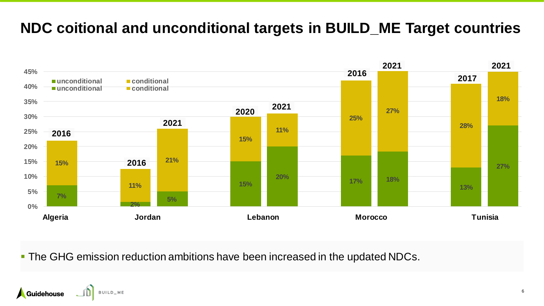#### **NDC coitional and unconditional targets in BUILD\_ME Target countries**

![](_page_5_Figure_1.jpeg)

■ The GHG emission reduction ambitions have been increased in the updated NDCs.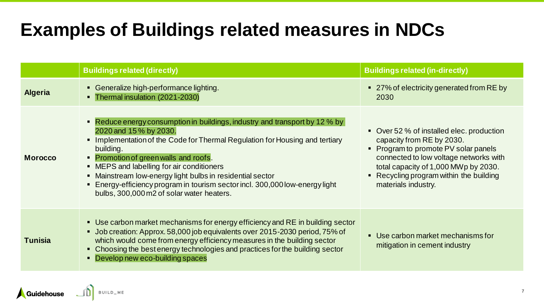## **Examples of Buildings related measures in NDCs**

|                | <b>Buildings related (directly)</b>                                                                                                                                                                                                                                                                                                                                                                                                                                                | <b>Buildings related (in-directly)</b>                                                                                                                                                                                                                             |
|----------------|------------------------------------------------------------------------------------------------------------------------------------------------------------------------------------------------------------------------------------------------------------------------------------------------------------------------------------------------------------------------------------------------------------------------------------------------------------------------------------|--------------------------------------------------------------------------------------------------------------------------------------------------------------------------------------------------------------------------------------------------------------------|
| <b>Algeria</b> | • Generalize high-performance lighting.<br>• Thermal insulation (2021-2030)                                                                                                                                                                                                                                                                                                                                                                                                        | ■ 27% of electricity generated from RE by<br>2030                                                                                                                                                                                                                  |
| <b>Morocco</b> | • Reduce energy consumption in buildings, industry and transport by 12 % by<br>2020 and 15 % by 2030.<br>• Implementation of the Code for Thermal Regulation for Housing and tertiary<br>building.<br>• Promotion of green walls and roofs.<br>• MEPS and labelling for air conditioners<br>• Mainstream low-energy light bulbs in residential sector<br>• Energy-efficiency program in tourism sector incl. 300,000 low-energy light<br>bulbs, 300,000 m2 of solar water heaters. | • Over 52 % of installed elec. production<br>capacity from RE by 2030.<br>• Program to promote PV solar panels<br>connected to low voltage networks with<br>total capacity of 1,000 MWp by 2030.<br>• Recycling program within the building<br>materials industry. |
| <b>Tunisia</b> | • Use carbon market mechanisms for energy efficiency and RE in building sector<br>• Job creation: Approx. 58,000 job equivalents over 2015-2030 period, 75% of<br>which would come from energy efficiency measures in the building sector<br>• Choosing the best energy technologies and practices for the building sector<br>• Develop new eco-building spaces                                                                                                                    | • Use carbon market mechanisms for<br>mitigation in cement industry                                                                                                                                                                                                |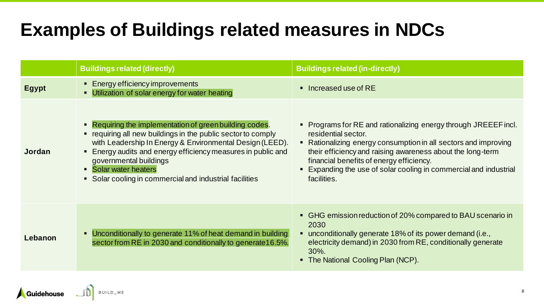## **Examples of Buildings related measures in NDCs**

|               | <b>Buildings related (directly)</b>                                                                                                                                                                                                                                                                                                                               | <b>Buildings related (in-directly)</b>                                                                                                                                                                                                                                                                                                                  |
|---------------|-------------------------------------------------------------------------------------------------------------------------------------------------------------------------------------------------------------------------------------------------------------------------------------------------------------------------------------------------------------------|---------------------------------------------------------------------------------------------------------------------------------------------------------------------------------------------------------------------------------------------------------------------------------------------------------------------------------------------------------|
| <b>Egypt</b>  | ■ Energy efficiency improvements<br>• Utilization of solar energy for water heating                                                                                                                                                                                                                                                                               | $\blacksquare$ Increased use of RE                                                                                                                                                                                                                                                                                                                      |
| <b>Jordan</b> | • Requiring the implementation of green building codes.<br>" requiring all new buildings in the public sector to comply<br>with Leadership In Energy & Environmental Design (LEED).<br>• Energy audits and energy efficiency measures in public and<br>governmental buildings<br>• Solar water heaters<br>• Solar cooling in commercial and industrial facilities | • Programs for RE and rationalizing energy through JREEEF incl.<br>residential sector.<br>• Rationalizing energy consumption in all sectors and improving<br>their efficiency and raising awareness about the long-term<br>financial benefits of energy efficiency.<br>• Expanding the use of solar cooling in commercial and industrial<br>facilities. |
| Lebanon       | • Unconditionally to generate 11% of heat demand in building<br>sector from RE in 2030 and conditionally to generate 16.5%.                                                                                                                                                                                                                                       | • GHG emission reduction of 20% compared to BAU scenario in<br>2030<br>■ unconditionally generate 18% of its power demand (i.e.,<br>electricity demand) in 2030 from RE, conditionally generate<br>30%.<br>The National Cooling Plan (NCP).                                                                                                             |

BUILD\_ME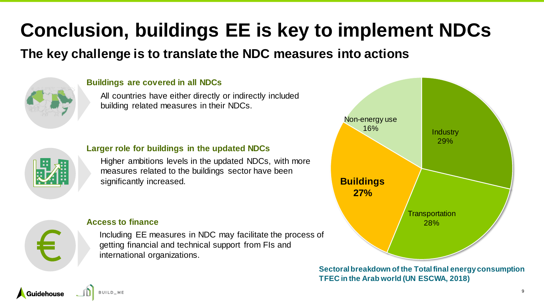# **Conclusion, buildings EE is key to implement NDCs**

#### **The key challenge is to translate the NDC measures into actions**

![](_page_8_Picture_2.jpeg)

#### **Buildings are covered in all NDCs**

All countries have either directly or indirectly included building related measures in their NDCs.

![](_page_8_Picture_5.jpeg)

#### **Larger role for buildings in the updated NDCs**

Higher ambitions levels in the updated NDCs, with more measures related to the buildings sector have been significantly increased.

![](_page_8_Figure_8.jpeg)

**Guidehouse** 

#### **Access to finance**

Including EE measures in NDC may facilitate the process of getting financial and technical support from FIs and international organizations.

![](_page_8_Figure_11.jpeg)

**Sectoral breakdown of the Total final energy consumption TFEC in the Arab world (UN ESCWA, 2018)**